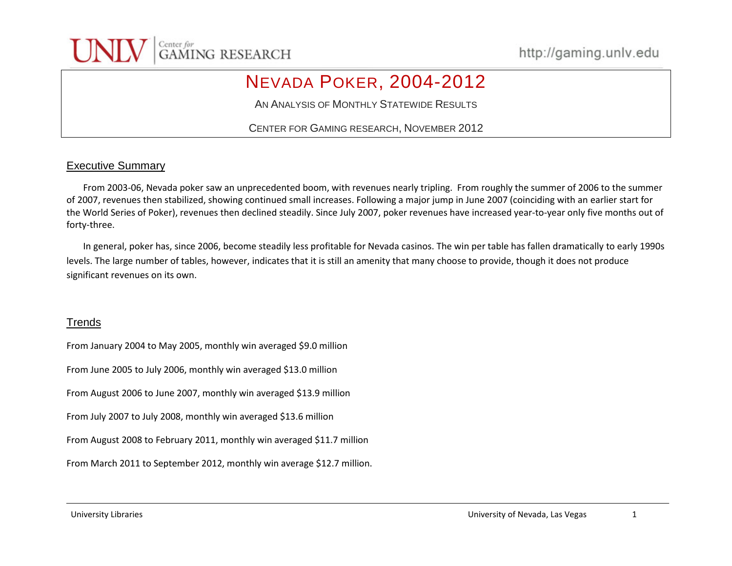

## NEVADA POKER, 2004-2012

AN ANALYSIS OF MONTHLY STATEWIDE RESULTS

CENTER FOR GAMING RESEARCH, NOVEMBER 2012

### Executive Summary

From 2003-06, Nevada poker saw an unprecedented boom, with revenues nearly tripling. From roughly the summer of 2006 to the summer of 2007, revenues then stabilized, showing continued small increases. Following a major jump in June 2007 (coinciding with an earlier start for the World Series of Poker), revenues then declined steadily. Since July 2007, poker revenues have increased year-to-year only five months out of forty-three.

In general, poker has, since 2006, become steadily less profitable for Nevada casinos. The win per table has fallen dramatically to early 1990s levels. The large number of tables, however, indicates that it is still an amenity that many choose to provide, though it does not produce significant revenues on its own.

### **Trends**

From January 2004 to May 2005, monthly win averaged \$9.0 million From June 2005 to July 2006, monthly win averaged \$13.0 million From August 2006 to June 2007, monthly win averaged \$13.9 million From July 2007 to July 2008, monthly win averaged \$13.6 million From August 2008 to February 2011, monthly win averaged \$11.7 million From March 2011 to September 2012, monthly win average \$12.7 million.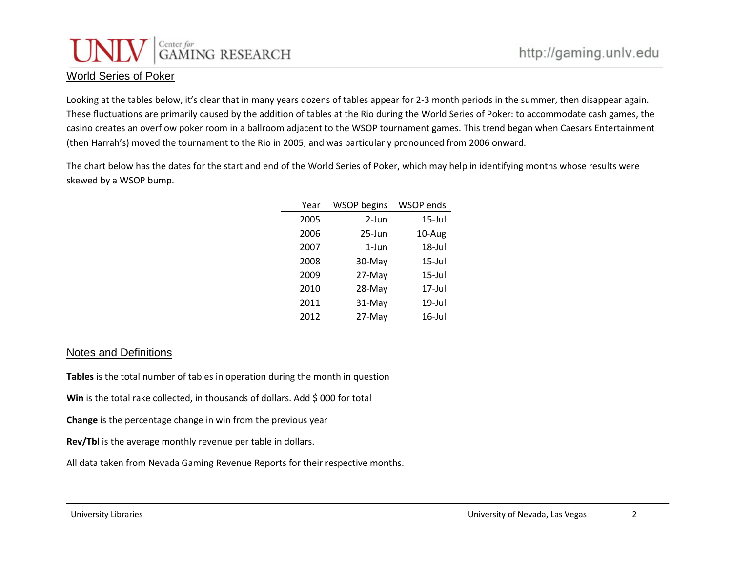# Center for GAMING RESEARCH

### World Series of Poker

Looking at the tables below, it's clear that in many years dozens of tables appear for 2-3 month periods in the summer, then disappear again. These fluctuations are primarily caused by the addition of tables at the Rio during the World Series of Poker: to accommodate cash games, the casino creates an overflow poker room in a ballroom adjacent to the WSOP tournament games. This trend began when Caesars Entertainment (then Harrah's) moved the tournament to the Rio in 2005, and was particularly pronounced from 2006 onward.

The chart below has the dates for the start and end of the World Series of Poker, which may help in identifying months whose results were skewed by a WSOP bump.

| Year | <b>WSOP</b> begins | <b>WSOP</b> ends |
|------|--------------------|------------------|
| 2005 | 2-Jun              | $15$ -Jul        |
| 2006 | $25 - Jun$         | 10-Aug           |
| 2007 | 1-Jun              | 18-Jul           |
| 2008 | 30-May             | $15$ -Jul        |
| 2009 | 27-May             | $15$ -Jul        |
| 2010 | 28-May             | $17$ -Jul        |
| 2011 | 31-May             | 19-Jul           |
| 2012 | 27-May             | 16-Jul           |

#### Notes and Definitions

**Tables** is the total number of tables in operation during the month in question

Win is the total rake collected, in thousands of dollars. Add \$ 000 for total

**Change** is the percentage change in win from the previous year

**Rev/Tbl** is the average monthly revenue per table in dollars.

All data taken from Nevada Gaming Revenue Reports for their respective months.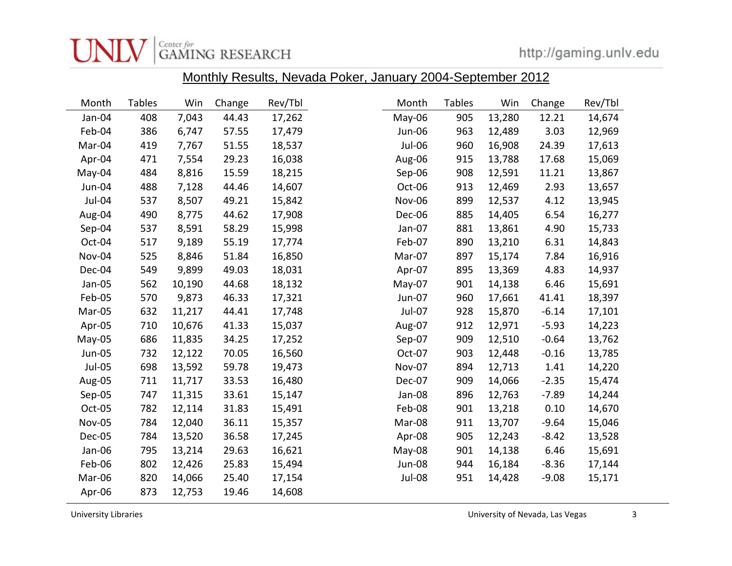

|               |               |        |        |         | $\frac{1}{100}$ The Roberto, Hovada Hokor, barraary 200 Fooptombor 2012 |        |        |         |         |
|---------------|---------------|--------|--------|---------|-------------------------------------------------------------------------|--------|--------|---------|---------|
| Month         | <b>Tables</b> | Win    | Change | Rev/Tbl | Month                                                                   | Tables | Win    | Change  | Rev/Tbl |
| Jan-04        | 408           | 7,043  | 44.43  | 17,262  | May-06                                                                  | 905    | 13,280 | 12.21   | 14,674  |
| Feb-04        | 386           | 6,747  | 57.55  | 17,479  | Jun-06                                                                  | 963    | 12,489 | 3.03    | 12,969  |
| Mar-04        | 419           | 7,767  | 51.55  | 18,537  | Jul-06                                                                  | 960    | 16,908 | 24.39   | 17,613  |
| Apr-04        | 471           | 7,554  | 29.23  | 16,038  | Aug-06                                                                  | 915    | 13,788 | 17.68   | 15,069  |
| May-04        | 484           | 8,816  | 15.59  | 18,215  | Sep-06                                                                  | 908    | 12,591 | 11.21   | 13,867  |
| Jun-04        | 488           | 7,128  | 44.46  | 14,607  | Oct-06                                                                  | 913    | 12,469 | 2.93    | 13,657  |
| Jul-04        | 537           | 8,507  | 49.21  | 15,842  | Nov-06                                                                  | 899    | 12,537 | 4.12    | 13,945  |
| Aug-04        | 490           | 8,775  | 44.62  | 17,908  | Dec-06                                                                  | 885    | 14,405 | 6.54    | 16,277  |
| Sep-04        | 537           | 8,591  | 58.29  | 15,998  | Jan-07                                                                  | 881    | 13,861 | 4.90    | 15,733  |
| Oct-04        | 517           | 9,189  | 55.19  | 17,774  | Feb-07                                                                  | 890    | 13,210 | 6.31    | 14,843  |
| Nov-04        | 525           | 8,846  | 51.84  | 16,850  | Mar-07                                                                  | 897    | 15,174 | 7.84    | 16,916  |
| Dec-04        | 549           | 9,899  | 49.03  | 18,031  | Apr-07                                                                  | 895    | 13,369 | 4.83    | 14,937  |
| Jan-05        | 562           | 10,190 | 44.68  | 18,132  | May-07                                                                  | 901    | 14,138 | 6.46    | 15,691  |
| Feb-05        | 570           | 9,873  | 46.33  | 17,321  | Jun-07                                                                  | 960    | 17,661 | 41.41   | 18,397  |
| Mar-05        | 632           | 11,217 | 44.41  | 17,748  | Jul-07                                                                  | 928    | 15,870 | $-6.14$ | 17,101  |
| Apr-05        | 710           | 10,676 | 41.33  | 15,037  | Aug-07                                                                  | 912    | 12,971 | $-5.93$ | 14,223  |
| May-05        | 686           | 11,835 | 34.25  | 17,252  | Sep-07                                                                  | 909    | 12,510 | $-0.64$ | 13,762  |
| Jun-05        | 732           | 12,122 | 70.05  | 16,560  | Oct-07                                                                  | 903    | 12,448 | $-0.16$ | 13,785  |
| Jul-05        | 698           | 13,592 | 59.78  | 19,473  | <b>Nov-07</b>                                                           | 894    | 12,713 | 1.41    | 14,220  |
| Aug-05        | 711           | 11,717 | 33.53  | 16,480  | Dec-07                                                                  | 909    | 14,066 | $-2.35$ | 15,474  |
| Sep-05        | 747           | 11,315 | 33.61  | 15,147  | Jan-08                                                                  | 896    | 12,763 | $-7.89$ | 14,244  |
| Oct-05        | 782           | 12,114 | 31.83  | 15,491  | Feb-08                                                                  | 901    | 13,218 | 0.10    | 14,670  |
| <b>Nov-05</b> | 784           | 12,040 | 36.11  | 15,357  | Mar-08                                                                  | 911    | 13,707 | $-9.64$ | 15,046  |
| Dec-05        | 784           | 13,520 | 36.58  | 17,245  | Apr-08                                                                  | 905    | 12,243 | $-8.42$ | 13,528  |
| Jan-06        | 795           | 13,214 | 29.63  | 16,621  | May-08                                                                  | 901    | 14,138 | 6.46    | 15,691  |
| Feb-06        | 802           | 12,426 | 25.83  | 15,494  | Jun-08                                                                  | 944    | 16,184 | $-8.36$ | 17,144  |
| Mar-06        | 820           | 14,066 | 25.40  | 17,154  | Jul-08                                                                  | 951    | 14,428 | $-9.08$ | 15,171  |
| Apr-06        | 873           | 12,753 | 19.46  | 14,608  |                                                                         |        |        |         |         |

Monthly Results, Nevada Poker, January 2004-September 2012